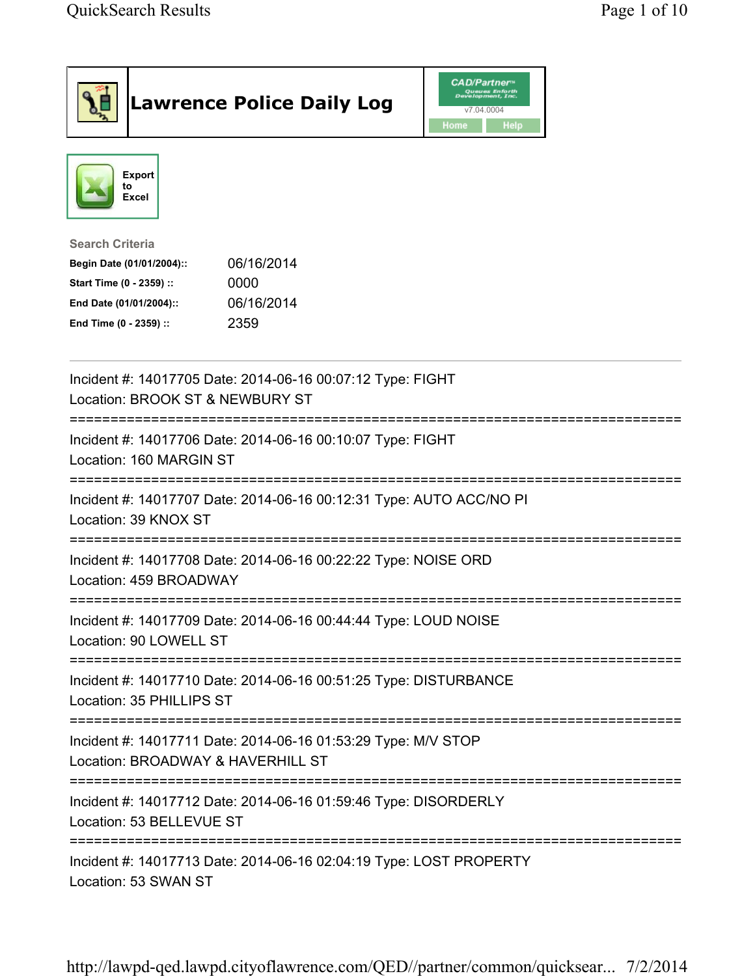| <b>Lawrence Police Daily Log</b>                                                                                                                                                 | <b>CAD/Partner</b> ®<br>Queues Enforth<br>Development, Inc.<br>v7.04.0004<br>Home<br>Help |
|----------------------------------------------------------------------------------------------------------------------------------------------------------------------------------|-------------------------------------------------------------------------------------------|
| <b>Export</b><br>to<br><b>Excel</b>                                                                                                                                              |                                                                                           |
| <b>Search Criteria</b><br>06/16/2014<br>Begin Date (01/01/2004)::<br>Start Time (0 - 2359) ::<br>0000<br>06/16/2014<br>End Date (01/01/2004)::<br>End Time (0 - 2359) ::<br>2359 |                                                                                           |
| Incident #: 14017705 Date: 2014-06-16 00:07:12 Type: FIGHT<br>Location: BROOK ST & NEWBURY ST                                                                                    |                                                                                           |
| Incident #: 14017706 Date: 2014-06-16 00:10:07 Type: FIGHT<br>Location: 160 MARGIN ST                                                                                            |                                                                                           |
| Incident #: 14017707 Date: 2014-06-16 00:12:31 Type: AUTO ACC/NO PI<br>Location: 39 KNOX ST                                                                                      |                                                                                           |
| Incident #: 14017708 Date: 2014-06-16 00:22:22 Type: NOISE ORD<br>Location: 459 BROADWAY                                                                                         |                                                                                           |
| Incident #: 14017709 Date: 2014-06-16 00:44:44 Type: LOUD NOISE<br>Location: 90 LOWELL ST                                                                                        |                                                                                           |
| Incident #: 14017710 Date: 2014-06-16 00:51:25 Type: DISTURBANCE<br>Location: 35 PHILLIPS ST                                                                                     |                                                                                           |
| Incident #: 14017711 Date: 2014-06-16 01:53:29 Type: M/V STOP<br>Location: BROADWAY & HAVERHILL ST                                                                               |                                                                                           |
| Incident #: 14017712 Date: 2014-06-16 01:59:46 Type: DISORDERLY<br>Location: 53 BELLEVUE ST                                                                                      |                                                                                           |
| Incident #: 14017713 Date: 2014-06-16 02:04:19 Type: LOST PROPERTY<br>Location: 53 SWAN ST                                                                                       |                                                                                           |

http://lawpd-qed.lawpd.cityoflawrence.com/QED//partner/common/quicksear... 7/2/2014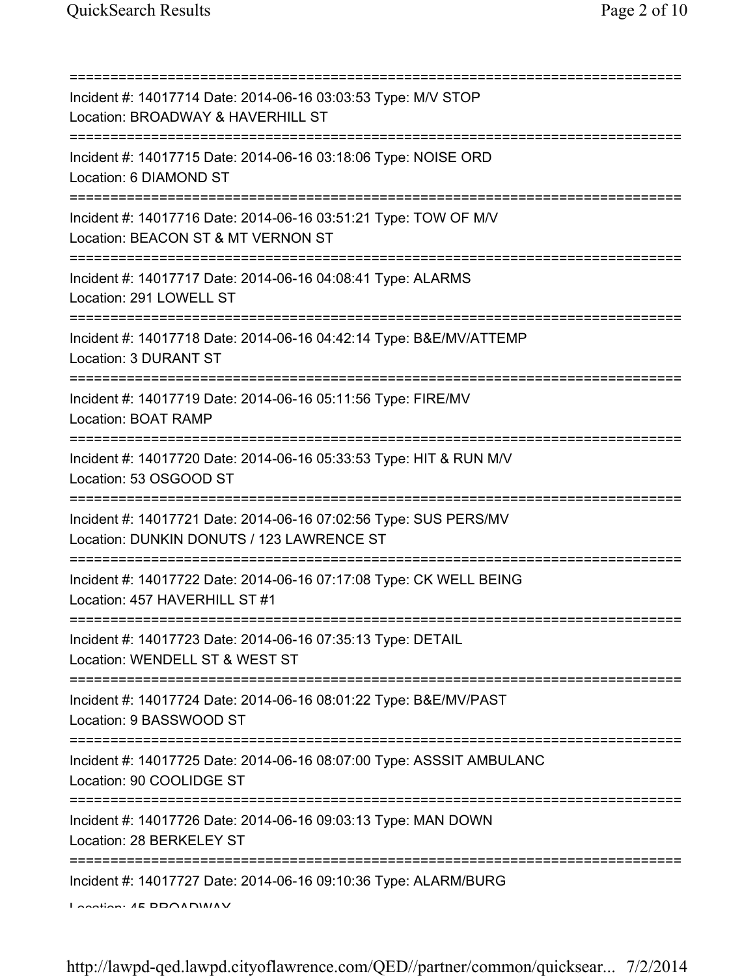| Incident #: 14017714 Date: 2014-06-16 03:03:53 Type: M/V STOP<br>Location: BROADWAY & HAVERHILL ST                                                          |
|-------------------------------------------------------------------------------------------------------------------------------------------------------------|
| Incident #: 14017715 Date: 2014-06-16 03:18:06 Type: NOISE ORD<br>Location: 6 DIAMOND ST<br>===================================                             |
| Incident #: 14017716 Date: 2014-06-16 03:51:21 Type: TOW OF M/V<br>Location: BEACON ST & MT VERNON ST<br>===========================                        |
| Incident #: 14017717 Date: 2014-06-16 04:08:41 Type: ALARMS<br>Location: 291 LOWELL ST                                                                      |
| Incident #: 14017718 Date: 2014-06-16 04:42:14 Type: B&E/MV/ATTEMP<br>Location: 3 DURANT ST                                                                 |
| Incident #: 14017719 Date: 2014-06-16 05:11:56 Type: FIRE/MV<br><b>Location: BOAT RAMP</b>                                                                  |
| Incident #: 14017720 Date: 2014-06-16 05:33:53 Type: HIT & RUN M/V<br>Location: 53 OSGOOD ST                                                                |
| Incident #: 14017721 Date: 2014-06-16 07:02:56 Type: SUS PERS/MV<br>Location: DUNKIN DONUTS / 123 LAWRENCE ST                                               |
| Incident #: 14017722 Date: 2014-06-16 07:17:08 Type: CK WELL BEING<br>Location: 457 HAVERHILL ST #1                                                         |
| Incident #: 14017723 Date: 2014-06-16 07:35:13 Type: DETAIL<br>Location: WENDELL ST & WEST ST                                                               |
| Incident #: 14017724 Date: 2014-06-16 08:01:22 Type: B&E/MV/PAST<br>Location: 9 BASSWOOD ST                                                                 |
| ;=====================================<br>Incident #: 14017725 Date: 2014-06-16 08:07:00 Type: ASSSIT AMBULANC<br>Location: 90 COOLIDGE ST<br>============= |
| Incident #: 14017726 Date: 2014-06-16 09:03:13 Type: MAN DOWN<br>Location: 28 BERKELEY ST                                                                   |
| Incident #: 14017727 Date: 2014-06-16 09:10:36 Type: ALARM/BURG<br>A                                                                                        |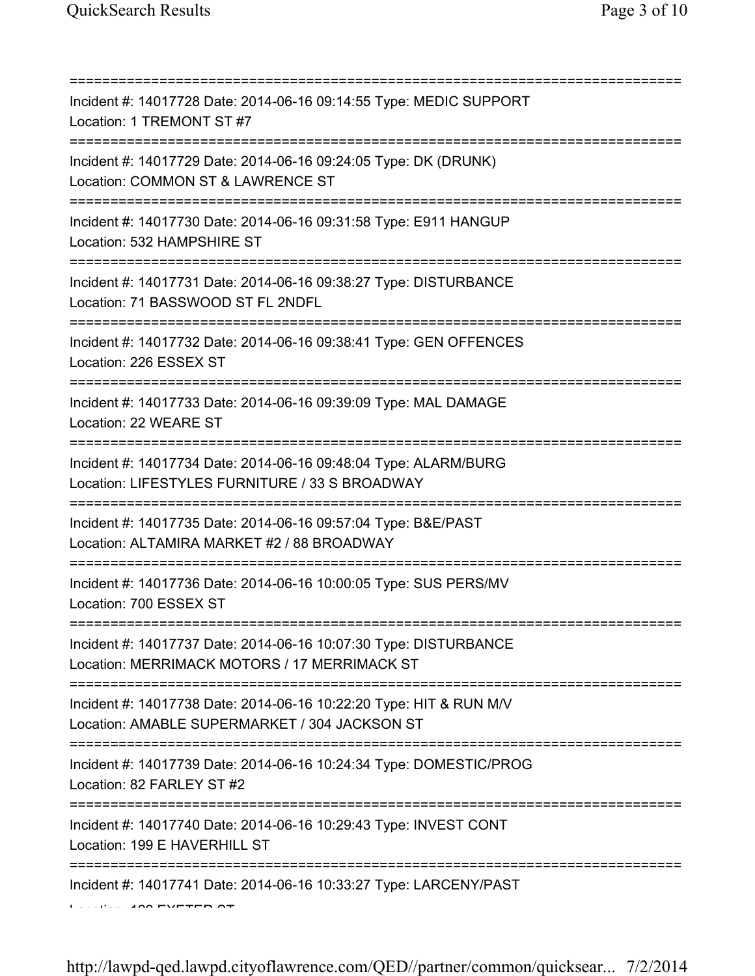| Incident #: 14017728 Date: 2014-06-16 09:14:55 Type: MEDIC SUPPORT<br>Location: 1 TREMONT ST #7                                                          |
|----------------------------------------------------------------------------------------------------------------------------------------------------------|
| Incident #: 14017729 Date: 2014-06-16 09:24:05 Type: DK (DRUNK)<br>Location: COMMON ST & LAWRENCE ST<br>:===================                             |
| Incident #: 14017730 Date: 2014-06-16 09:31:58 Type: E911 HANGUP<br>Location: 532 HAMPSHIRE ST<br>=====================================                  |
| Incident #: 14017731 Date: 2014-06-16 09:38:27 Type: DISTURBANCE<br>Location: 71 BASSWOOD ST FL 2NDFL                                                    |
| Incident #: 14017732 Date: 2014-06-16 09:38:41 Type: GEN OFFENCES<br>Location: 226 ESSEX ST                                                              |
| Incident #: 14017733 Date: 2014-06-16 09:39:09 Type: MAL DAMAGE<br>Location: 22 WEARE ST                                                                 |
| Incident #: 14017734 Date: 2014-06-16 09:48:04 Type: ALARM/BURG<br>Location: LIFESTYLES FURNITURE / 33 S BROADWAY<br>=================================== |
| Incident #: 14017735 Date: 2014-06-16 09:57:04 Type: B&E/PAST<br>Location: ALTAMIRA MARKET #2 / 88 BROADWAY<br>;==========================               |
| Incident #: 14017736 Date: 2014-06-16 10:00:05 Type: SUS PERS/MV<br>Location: 700 ESSEX ST                                                               |
| ===================<br>Incident #: 14017737 Date: 2014-06-16 10:07:30 Type: DISTURBANCE<br>Location: MERRIMACK MOTORS / 17 MERRIMACK ST                  |
| Incident #: 14017738 Date: 2014-06-16 10:22:20 Type: HIT & RUN M/V<br>Location: AMABLE SUPERMARKET / 304 JACKSON ST                                      |
| Incident #: 14017739 Date: 2014-06-16 10:24:34 Type: DOMESTIC/PROG<br>Location: 82 FARLEY ST #2                                                          |
| Incident #: 14017740 Date: 2014-06-16 10:29:43 Type: INVEST CONT<br>Location: 199 E HAVERHILL ST                                                         |
| Incident #: 14017741 Date: 2014-06-16 10:33:27 Type: LARCENY/PAST                                                                                        |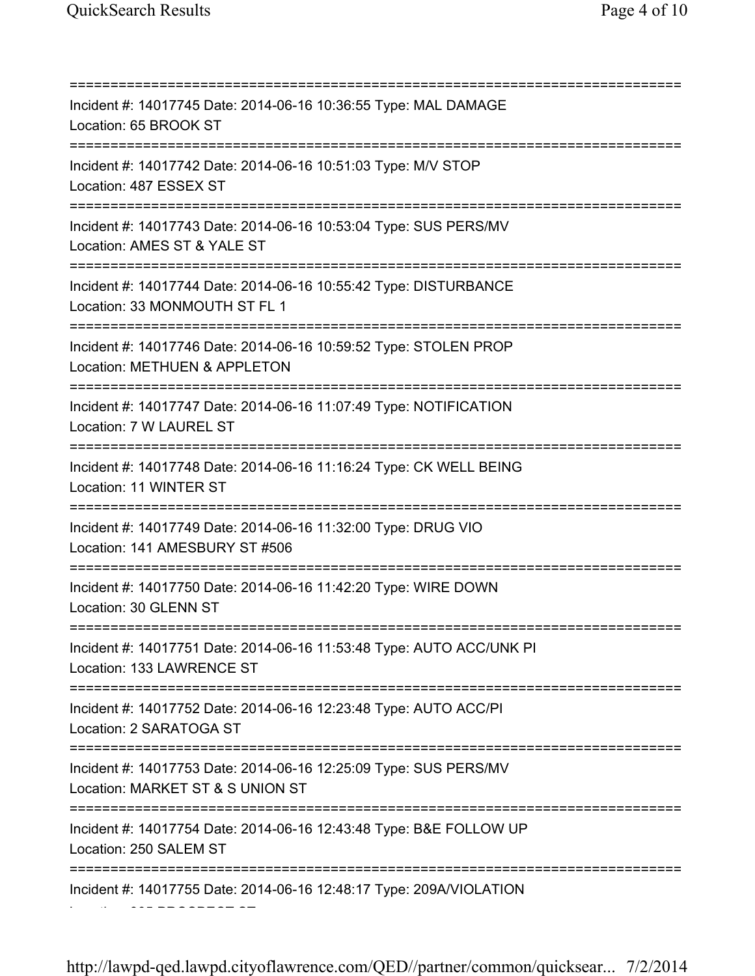Location: 305 PROSPECT ST

=========================================================================== Incident #: 14017745 Date: 2014-06-16 10:36:55 Type: MAL DAMAGE Location: 65 BROOK ST =========================================================================== Incident #: 14017742 Date: 2014-06-16 10:51:03 Type: M/V STOP Location: 487 ESSEX ST =========================================================================== Incident #: 14017743 Date: 2014-06-16 10:53:04 Type: SUS PERS/MV Location: AMES ST & YALE ST =========================================================================== Incident #: 14017744 Date: 2014-06-16 10:55:42 Type: DISTURBANCE Location: 33 MONMOUTH ST FL 1 =========================================================================== Incident #: 14017746 Date: 2014-06-16 10:59:52 Type: STOLEN PROP Location: METHUEN & APPLETON =========================================================================== Incident #: 14017747 Date: 2014-06-16 11:07:49 Type: NOTIFICATION Location: 7 W LAUREL ST =========================================================================== Incident #: 14017748 Date: 2014-06-16 11:16:24 Type: CK WELL BEING Location: 11 WINTER ST =========================================================================== Incident #: 14017749 Date: 2014-06-16 11:32:00 Type: DRUG VIO Location: 141 AMESBURY ST #506 =========================================================================== Incident #: 14017750 Date: 2014-06-16 11:42:20 Type: WIRE DOWN Location: 30 GLENN ST =========================================================================== Incident #: 14017751 Date: 2014-06-16 11:53:48 Type: AUTO ACC/UNK PI Location: 133 LAWRENCE ST =========================================================================== Incident #: 14017752 Date: 2014-06-16 12:23:48 Type: AUTO ACC/PI Location: 2 SARATOGA ST =========================================================================== Incident #: 14017753 Date: 2014-06-16 12:25:09 Type: SUS PERS/MV Location: MARKET ST & S UNION ST =========================================================================== Incident #: 14017754 Date: 2014-06-16 12:43:48 Type: B&E FOLLOW UP Location: 250 SALEM ST =========================================================================== Incident #: 14017755 Date: 2014-06-16 12:48:17 Type: 209A/VIOLATION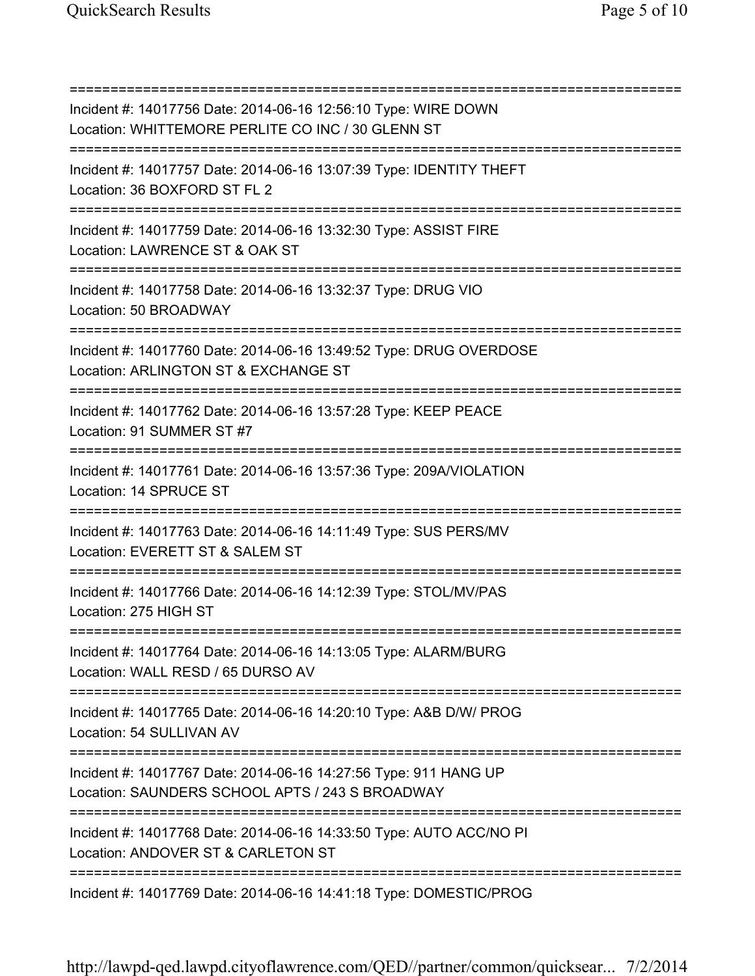=========================================================================== Incident #: 14017756 Date: 2014-06-16 12:56:10 Type: WIRE DOWN Location: WHITTEMORE PERLITE CO INC / 30 GLENN ST =========================================================================== Incident #: 14017757 Date: 2014-06-16 13:07:39 Type: IDENTITY THEFT Location: 36 BOXFORD ST FL 2 =========================================================================== Incident #: 14017759 Date: 2014-06-16 13:32:30 Type: ASSIST FIRE Location: LAWRENCE ST & OAK ST =========================================================================== Incident #: 14017758 Date: 2014-06-16 13:32:37 Type: DRUG VIO Location: 50 BROADWAY =========================================================================== Incident #: 14017760 Date: 2014-06-16 13:49:52 Type: DRUG OVERDOSE Location: ARLINGTON ST & EXCHANGE ST =========================================================================== Incident #: 14017762 Date: 2014-06-16 13:57:28 Type: KEEP PEACE Location: 91 SUMMER ST #7 =========================================================================== Incident #: 14017761 Date: 2014-06-16 13:57:36 Type: 209A/VIOLATION Location: 14 SPRUCE ST =========================================================================== Incident #: 14017763 Date: 2014-06-16 14:11:49 Type: SUS PERS/MV Location: EVERETT ST & SALEM ST =========================================================================== Incident #: 14017766 Date: 2014-06-16 14:12:39 Type: STOL/MV/PAS Location: 275 HIGH ST =========================================================================== Incident #: 14017764 Date: 2014-06-16 14:13:05 Type: ALARM/BURG Location: WALL RESD / 65 DURSO AV =========================================================================== Incident #: 14017765 Date: 2014-06-16 14:20:10 Type: A&B D/W/ PROG Location: 54 SULLIVAN AV =========================================================================== Incident #: 14017767 Date: 2014-06-16 14:27:56 Type: 911 HANG UP Location: SAUNDERS SCHOOL APTS / 243 S BROADWAY =========================================================================== Incident #: 14017768 Date: 2014-06-16 14:33:50 Type: AUTO ACC/NO PI Location: ANDOVER ST & CARLETON ST =========================================================================== Incident #: 14017769 Date: 2014-06-16 14:41:18 Type: DOMESTIC/PROG

http://lawpd-qed.lawpd.cityoflawrence.com/QED//partner/common/quicksear... 7/2/2014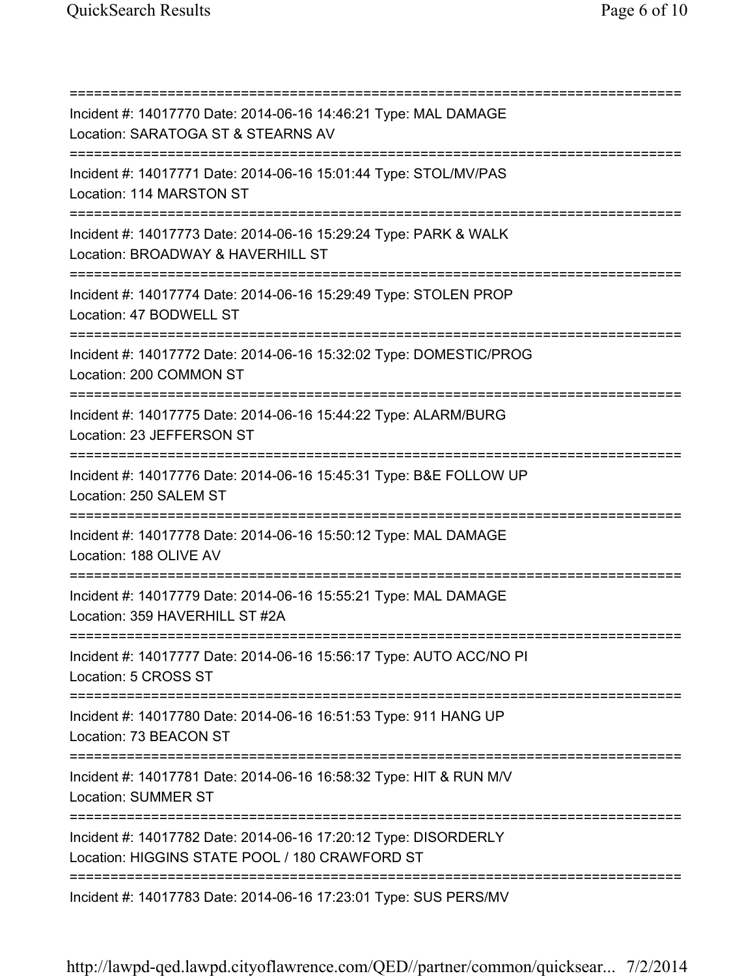=========================================================================== Incident #: 14017770 Date: 2014-06-16 14:46:21 Type: MAL DAMAGE Location: SARATOGA ST & STEARNS AV =========================================================================== Incident #: 14017771 Date: 2014-06-16 15:01:44 Type: STOL/MV/PAS Location: 114 MARSTON ST =========================================================================== Incident #: 14017773 Date: 2014-06-16 15:29:24 Type: PARK & WALK Location: BROADWAY & HAVERHILL ST =========================================================================== Incident #: 14017774 Date: 2014-06-16 15:29:49 Type: STOLEN PROP Location: 47 BODWELL ST =========================================================================== Incident #: 14017772 Date: 2014-06-16 15:32:02 Type: DOMESTIC/PROG Location: 200 COMMON ST =========================================================================== Incident #: 14017775 Date: 2014-06-16 15:44:22 Type: ALARM/BURG Location: 23 JEFFERSON ST =========================================================================== Incident #: 14017776 Date: 2014-06-16 15:45:31 Type: B&E FOLLOW UP Location: 250 SALEM ST =========================================================================== Incident #: 14017778 Date: 2014-06-16 15:50:12 Type: MAL DAMAGE Location: 188 OLIVE AV =========================================================================== Incident #: 14017779 Date: 2014-06-16 15:55:21 Type: MAL DAMAGE Location: 359 HAVERHILL ST #2A =========================================================================== Incident #: 14017777 Date: 2014-06-16 15:56:17 Type: AUTO ACC/NO PI Location: 5 CROSS ST =========================================================================== Incident #: 14017780 Date: 2014-06-16 16:51:53 Type: 911 HANG UP Location: 73 BEACON ST =========================================================================== Incident #: 14017781 Date: 2014-06-16 16:58:32 Type: HIT & RUN M/V Location: SUMMER ST =========================================================================== Incident #: 14017782 Date: 2014-06-16 17:20:12 Type: DISORDERLY Location: HIGGINS STATE POOL / 180 CRAWFORD ST =========================================================================== Incident #: 14017783 Date: 2014-06-16 17:23:01 Type: SUS PERS/MV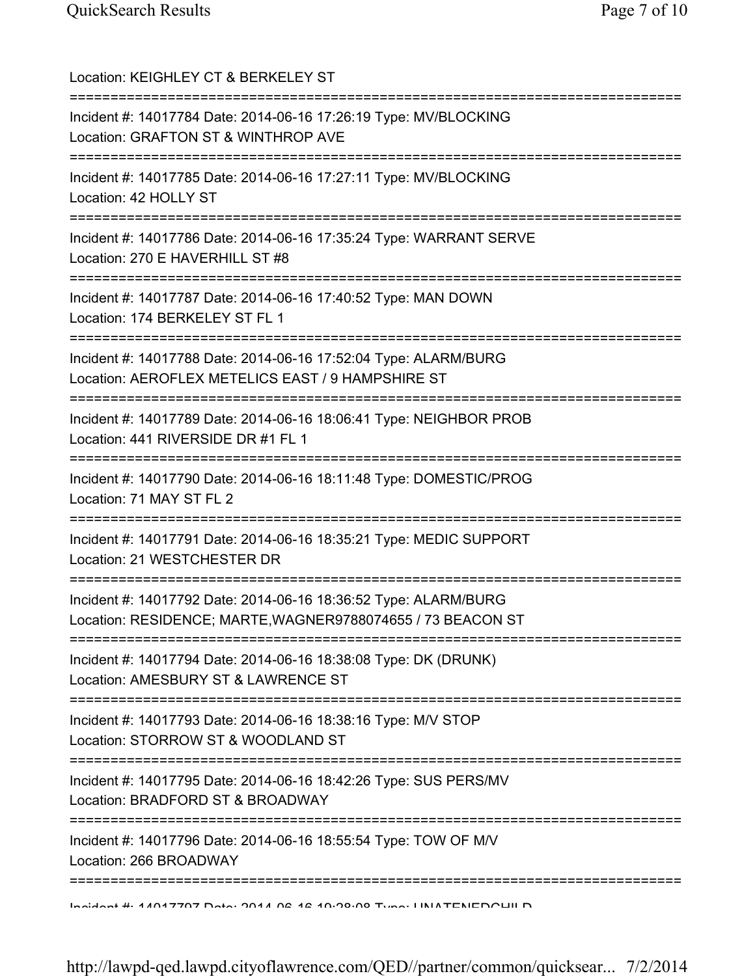| Location: KEIGHLEY CT & BERKELEY ST                                                                                                                                                               |
|---------------------------------------------------------------------------------------------------------------------------------------------------------------------------------------------------|
| ================================<br>Incident #: 14017784 Date: 2014-06-16 17:26:19 Type: MV/BLOCKING<br>Location: GRAFTON ST & WINTHROP AVE                                                       |
| Incident #: 14017785 Date: 2014-06-16 17:27:11 Type: MV/BLOCKING<br>Location: 42 HOLLY ST                                                                                                         |
| Incident #: 14017786 Date: 2014-06-16 17:35:24 Type: WARRANT SERVE<br>Location: 270 E HAVERHILL ST #8                                                                                             |
| Incident #: 14017787 Date: 2014-06-16 17:40:52 Type: MAN DOWN<br>Location: 174 BERKELEY ST FL 1                                                                                                   |
| Incident #: 14017788 Date: 2014-06-16 17:52:04 Type: ALARM/BURG<br>Location: AEROFLEX METELICS EAST / 9 HAMPSHIRE ST<br>====================================<br>--------------------------------- |
| Incident #: 14017789 Date: 2014-06-16 18:06:41 Type: NEIGHBOR PROB<br>Location: 441 RIVERSIDE DR #1 FL 1                                                                                          |
| Incident #: 14017790 Date: 2014-06-16 18:11:48 Type: DOMESTIC/PROG<br>Location: 71 MAY ST FL 2                                                                                                    |
| Incident #: 14017791 Date: 2014-06-16 18:35:21 Type: MEDIC SUPPORT<br>Location: 21 WESTCHESTER DR                                                                                                 |
| Incident #: 14017792 Date: 2014-06-16 18:36:52 Type: ALARM/BURG<br>Location: RESIDENCE; MARTE, WAGNER9788074655 / 73 BEACON ST                                                                    |
| Incident #: 14017794 Date: 2014-06-16 18:38:08 Type: DK (DRUNK)<br>Location: AMESBURY ST & LAWRENCE ST                                                                                            |
| Incident #: 14017793 Date: 2014-06-16 18:38:16 Type: M/V STOP<br>Location: STORROW ST & WOODLAND ST                                                                                               |
| ------------------<br>Incident #: 14017795 Date: 2014-06-16 18:42:26 Type: SUS PERS/MV<br>Location: BRADFORD ST & BROADWAY                                                                        |
| ================<br>Incident #: 14017796 Date: 2014-06-16 18:55:54 Type: TOW OF M/V<br>Location: 266 BROADWAY                                                                                     |
| Incident #: 44047707 Deta: 2044 06:46:40:20:00 Tune: LINIATENEDOUILD                                                                                                                              |

http://lawpd-qed.lawpd.cityoflawrence.com/QED//partner/common/quicksear... 7/2/2014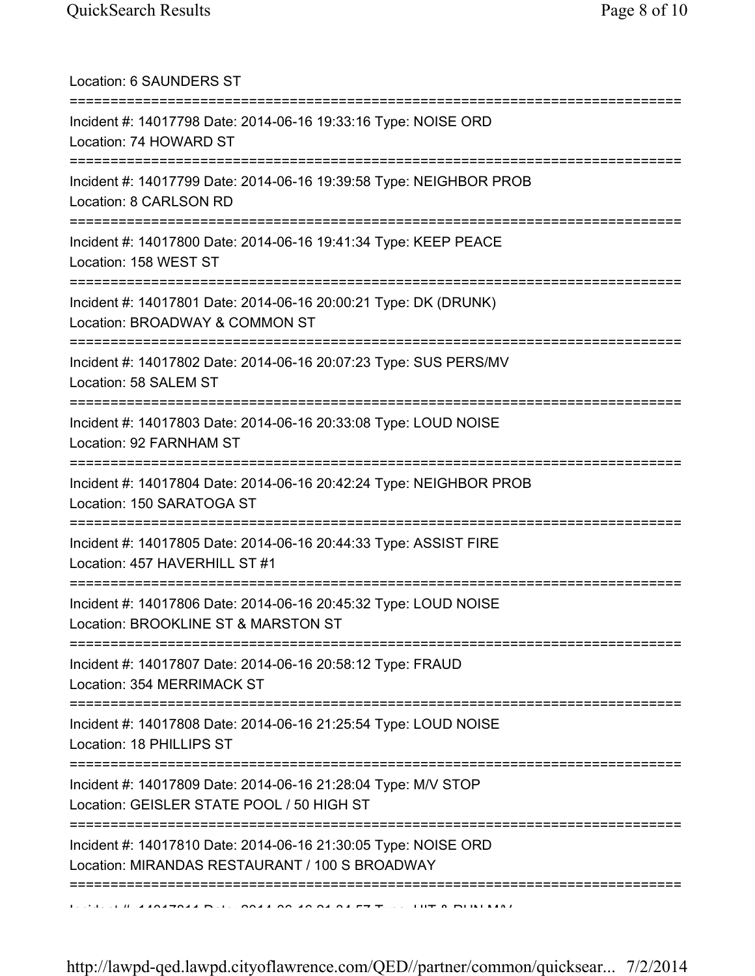| Location: 6 SAUNDERS ST<br>======================================                                                                       |
|-----------------------------------------------------------------------------------------------------------------------------------------|
| Incident #: 14017798 Date: 2014-06-16 19:33:16 Type: NOISE ORD<br>Location: 74 HOWARD ST<br>=======================                     |
| Incident #: 14017799 Date: 2014-06-16 19:39:58 Type: NEIGHBOR PROB<br>Location: 8 CARLSON RD<br>====================================    |
| Incident #: 14017800 Date: 2014-06-16 19:41:34 Type: KEEP PEACE<br>Location: 158 WEST ST<br>=============================               |
| Incident #: 14017801 Date: 2014-06-16 20:00:21 Type: DK (DRUNK)<br>Location: BROADWAY & COMMON ST                                       |
| Incident #: 14017802 Date: 2014-06-16 20:07:23 Type: SUS PERS/MV<br>Location: 58 SALEM ST                                               |
| Incident #: 14017803 Date: 2014-06-16 20:33:08 Type: LOUD NOISE<br>Location: 92 FARNHAM ST                                              |
| ===============================<br>Incident #: 14017804 Date: 2014-06-16 20:42:24 Type: NEIGHBOR PROB<br>Location: 150 SARATOGA ST      |
| Incident #: 14017805 Date: 2014-06-16 20:44:33 Type: ASSIST FIRE<br>Location: 457 HAVERHILL ST #1                                       |
| Incident #: 14017806 Date: 2014-06-16 20:45:32 Type: LOUD NOISE<br>Location: BROOKLINE ST & MARSTON ST                                  |
| Incident #: 14017807 Date: 2014-06-16 20:58:12 Type: FRAUD<br>Location: 354 MERRIMACK ST                                                |
| :=============================<br>Incident #: 14017808 Date: 2014-06-16 21:25:54 Type: LOUD NOISE<br>Location: 18 PHILLIPS ST           |
| :========================<br>Incident #: 14017809 Date: 2014-06-16 21:28:04 Type: M/V STOP<br>Location: GEISLER STATE POOL / 50 HIGH ST |
| Incident #: 14017810 Date: 2014-06-16 21:30:05 Type: NOISE ORD<br>Location: MIRANDAS RESTAURANT / 100 S BROADWAY                        |
|                                                                                                                                         |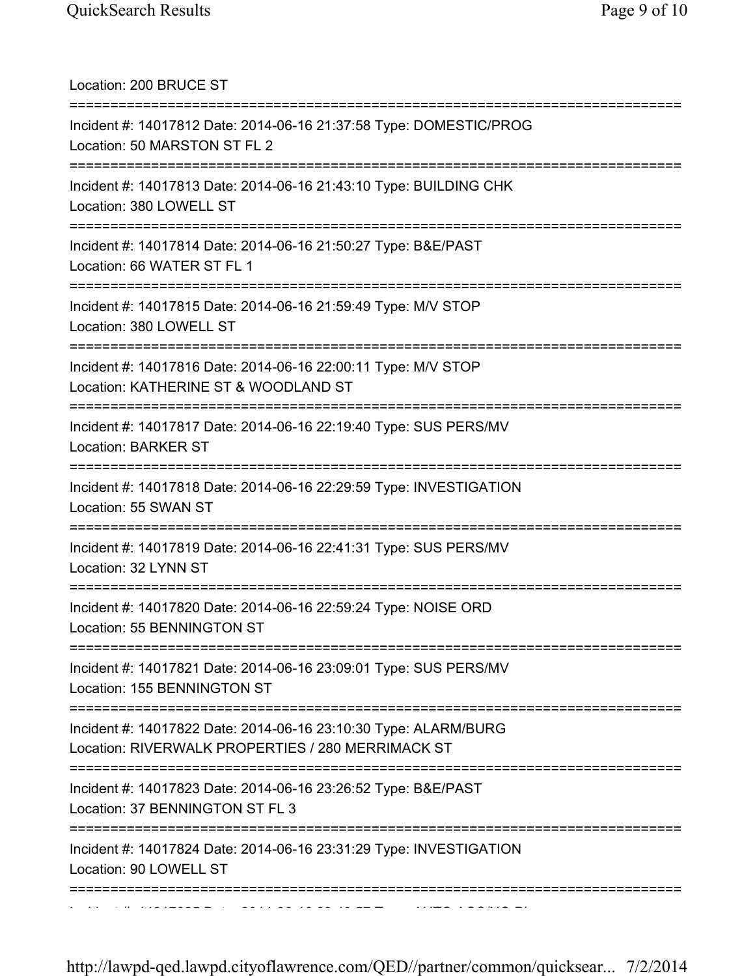| Location: 200 BRUCE ST                                                                                               |
|----------------------------------------------------------------------------------------------------------------------|
| Incident #: 14017812 Date: 2014-06-16 21:37:58 Type: DOMESTIC/PROG<br>Location: 50 MARSTON ST FL 2                   |
| Incident #: 14017813 Date: 2014-06-16 21:43:10 Type: BUILDING CHK<br>Location: 380 LOWELL ST                         |
| Incident #: 14017814 Date: 2014-06-16 21:50:27 Type: B&E/PAST<br>Location: 66 WATER ST FL 1                          |
| Incident #: 14017815 Date: 2014-06-16 21:59:49 Type: M/V STOP<br>Location: 380 LOWELL ST                             |
| Incident #: 14017816 Date: 2014-06-16 22:00:11 Type: M/V STOP<br>Location: KATHERINE ST & WOODLAND ST                |
| Incident #: 14017817 Date: 2014-06-16 22:19:40 Type: SUS PERS/MV<br><b>Location: BARKER ST</b>                       |
| Incident #: 14017818 Date: 2014-06-16 22:29:59 Type: INVESTIGATION<br>Location: 55 SWAN ST                           |
| Incident #: 14017819 Date: 2014-06-16 22:41:31 Type: SUS PERS/MV<br>Location: 32 LYNN ST                             |
| Incident #: 14017820 Date: 2014-06-16 22:59:24 Type: NOISE ORD<br>Location: 55 BENNINGTON ST                         |
| Incident #: 14017821 Date: 2014-06-16 23:09:01 Type: SUS PERS/MV<br>Location: 155 BENNINGTON ST                      |
| Incident #: 14017822 Date: 2014-06-16 23:10:30 Type: ALARM/BURG<br>Location: RIVERWALK PROPERTIES / 280 MERRIMACK ST |
| Incident #: 14017823 Date: 2014-06-16 23:26:52 Type: B&E/PAST<br>Location: 37 BENNINGTON ST FL 3                     |
| Incident #: 14017824 Date: 2014-06-16 23:31:29 Type: INVESTIGATION<br>Location: 90 LOWELL ST                         |
|                                                                                                                      |

http://lawpd-qed.lawpd.cityoflawrence.com/QED//partner/common/quicksear... 7/2/2014

Incident #: 14017825 Date: 2014 06 16 23:43:57 Type: AUTO ACC/NO PI